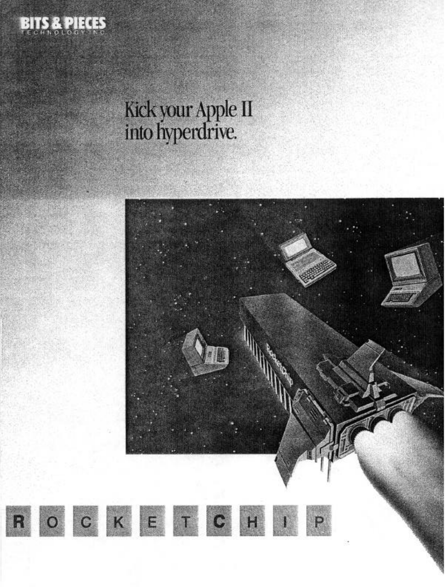

R

# Kick your Apple II<br>into hyperdrive.

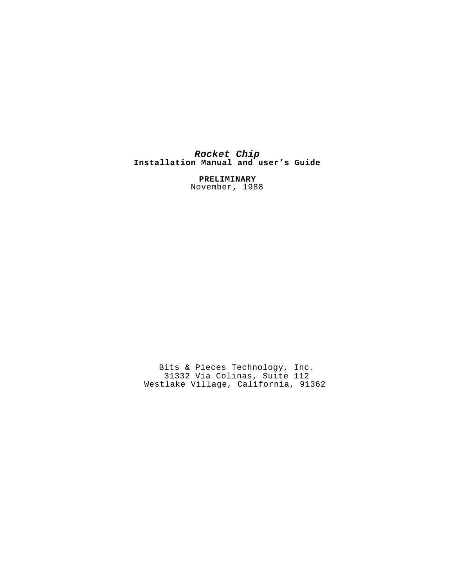# *Rocket Chip* **Installation Manual and user's Guide**

**PRELIMINARY** November, 1988

Bits & Pieces Technology, Inc. 31332 Via Colinas, Suite 112 Westlake Village, California, 91362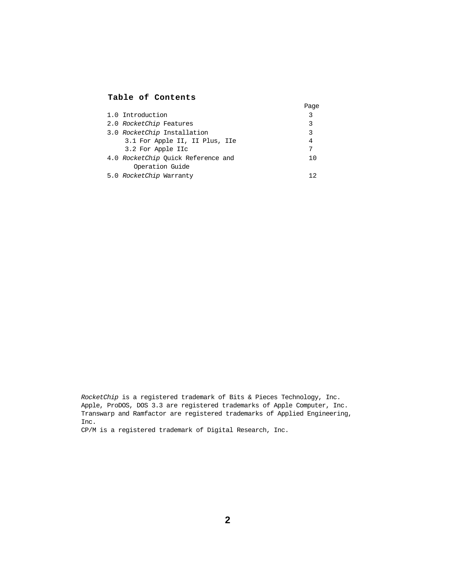# **Table of Contents**

|                                    | Page |
|------------------------------------|------|
| 1.0 Introduction                   | 3    |
| 2.0 RocketChip Features            | 3    |
| 3.0 RocketChip Installation        | 3    |
| 3.1 For Apple II, II Plus, IIe     | 4    |
| 3.2 For Apple IIc                  | 7    |
| 4.0 RocketChip Ouick Reference and | 10   |
| Operation Guide                    |      |
| 5.0 RocketChip Warranty            |      |

*RocketChip* is a registered trademark of Bits & Pieces Technology, Inc. Apple, ProDOS, DOS 3.3 are registered trademarks of Apple Computer, Inc. Transwarp and Ramfactor are registered trademarks of Applied Engineering, Inc.

CP/M is a registered trademark of Digital Research, Inc.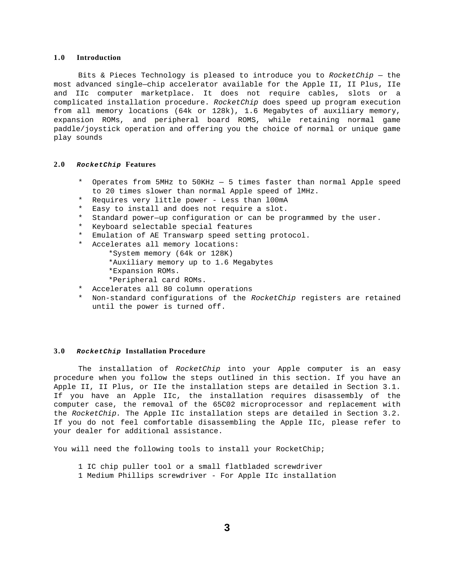## <span id="page-3-0"></span>**1.0 Introduction**

Bits & Pieces Technology is pleased to introduce you to *RocketChip* — the most advanced single—chip accelerator available for the Apple II, II Plus, IIe and IIc computer marketplace. It does not require cables, slots or a complicated installation procedure. *RocketChip* does speed up program execution from all memory locations (64k or 128k), 1.6 Megabytes of auxiliary memory, expansion ROMs, and peripheral board ROMS, while retaining normal game paddle/joystick operation and offering you the choice of normal or unique game play sounds

#### **2.0** *RocketChip* **Features**

- \* Operates from 5MHz to 50KHz 5 times faster than normal Apple speed to 20 times slower than normal Apple speed of lMHz.
- \* Requires very little power Less than l00mA
- \* Easy to install and does not require a slot.
- \* Standard power—up configuration or can be programmed by the user.
- \* Keyboard selectable special features
- \* Emulation of AE Transwarp speed setting protocol.
- \* Accelerates all memory locations:
	- \*System memory (64k or 128K)
	- \*Auxiliary memory up to 1.6 Megabytes
	- \*Expansion ROMs.
	- \*Peripheral card ROMs.
- \* Accelerates all 80 column operations
- \* Non-standard configurations of the *RocketChip* registers are retained until the power is turned off.

#### **3.0** *RocketChip* **Installation Procedure**

The installation of *RocketChip* into your Apple computer is an easy procedure when you follow the steps outlined in this section. If you have an Apple II, II Plus, or IIe the installation steps are detailed in Section 3.1. If you have an Apple IIc, the installation requires disassembly of the computer case, the removal of the 65C02 microprocessor and replacement with the *RocketChip.* The Apple IIc installation steps are detailed in Section 3.2. If you do not feel comfortable disassembling the Apple IIc, please refer to your dealer for additional assistance.

You will need the following tools to install your RocketChip;

- 1 IC chip puller tool or a small flatbladed screwdriver
- 1 Medium Phillips screwdriver For Apple IIc installation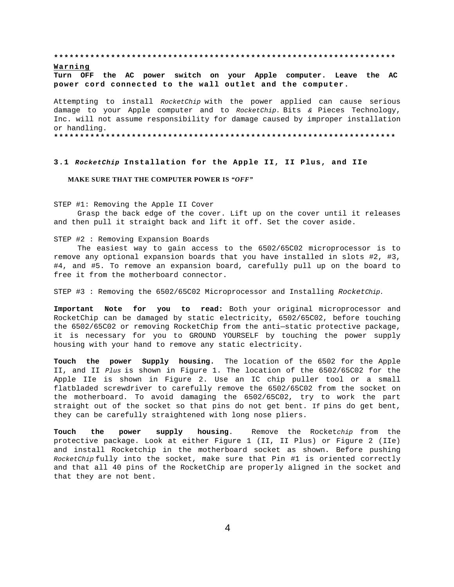<span id="page-4-0"></span>**\*\*\*\*\*\*\*\*\*\*\*\*\*\*\*\*\*\*\*\*\*\*\*\*\*\*\*\*\*\*\*\*\*\*\*\*\*\*\*\*\*\*\*\*\*\*\*\*\*\*\*\*\*\*\*\*\*\*\*\*\*\*\*\*\*\***

#### **Warning**

**Turn OFF the AC power switch on your Apple computer. Leave the AC power cord connected to the wall outlet and the computer.**

Attempting to install *RocketChip* with the power applied can cause serious damage to your Apple computer and to *RocketChip.* Bits *&* Pieces Technology, Inc. will not assume responsibility for damage caused by improper installation or handling.

**\*\*\*\*\*\*\*\*\*\*\*\*\*\*\*\*\*\*\*\*\*\*\*\*\*\*\*\*\*\*\*\*\*\*\*\*\*\*\*\*\*\*\*\*\*\*\*\*\*\*\*\*\*\*\*\*\*\*\*\*\*\*\*\*\*\***

#### **3.1** *RocketChip* **Installation for the Apple II, II Plus, and IIe**

#### **MAKE SURE THAT THE COMPUTER POWER IS** *"OFF"*

STEP #1: Removing the Apple II Cover

Grasp the back edge of the cover. Lift up on the cover until it releases and then pull it straight back and lift it off. Set the cover aside.

STEP #2 : Removing Expansion Boards

The easiest way to gain access to the 6502/65C02 microprocessor is to remove any optional expansion boards that you have installed in slots #2, #3, #4, and #5. To remove an expansion board, carefully pull up on the board to free it from the motherboard connector.

STEP #3 : Removing the 6502/65C02 Microprocessor and Installing *RocketChip.*

**Important Note for you to read:** Both your original microprocessor and RocketChip can be damaged by static electricity, 6502/65C02, before touching the 6502/65C02 or removing RocketChip from the anti—static protective package, it is necessary for you to GROUND YOURSELF by touching the power supply housing with your hand to remove any static electricity.

**Touch the power Supply housing.** The location of the 6502 for the Apple II, and II *Plus* is shown in Figure 1. The location of the 6502/65C02 for the Apple IIe is shown in Figure 2. Use an IC chip puller tool or a small flatbladed screwdriver to carefully remove the 6502/65C02 from the socket on the motherboard. To avoid damaging the 6502/65C02, try to work the part straight out of the socket so that pins do not get bent. If pins do get bent, they can be carefully straightened with long nose pliers.

**Touch the power supply housing**. Remove the Rocket*chip* from the protective package. Look at either Figure 1 (II, II Plus) or Figure 2 (IIe) and install Rocketchip in the motherboard socket as shown. Before pushing *RocketChip* fully into the socket, make sure that Pin #1 is oriented correctly and that all 40 pins of the RocketChip are properly aligned in the socket and that they are not bent.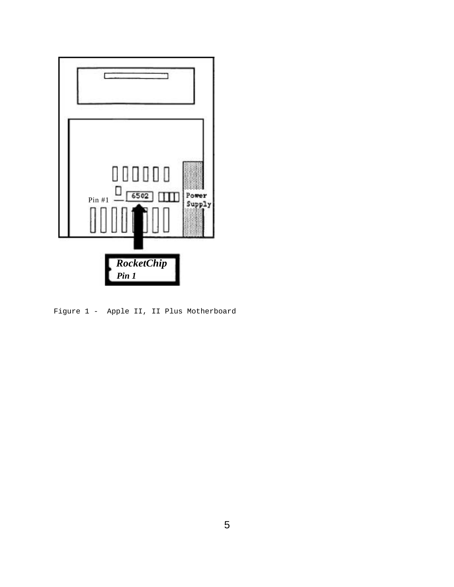

Figure 1 - Apple II, II Plus Motherboard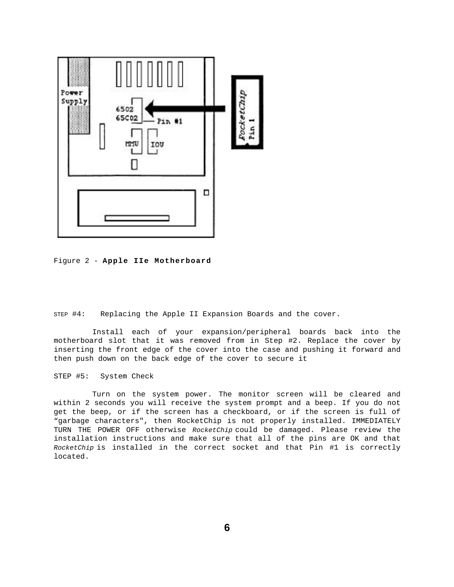

Figure 2 - **Apple IIe Motherboard**

STEP #4: Replacing the Apple II Expansion Boards and the cover.

Install each of your expansion/peripheral boards back into the motherboard slot that it was removed from in Step #2. Replace the cover by inserting the front edge of the cover into the case and pushing it forward and then push down on the back edge of the cover to secure it

STEP #5: System Check

Turn on the system power. The monitor screen will be cleared and within 2 seconds you will receive the system prompt and a beep. If you do not get the beep, or if the screen has a checkboard, or if the screen is full of "garbage characters", then RocketChip is not properly installed. IMMEDIATELY TURN THE POWER OFF otherwise *RocketChip* could be damaged. Please review the installation instructions and make sure that all of the pins are OK and that *RocketChip* is installed in the correct socket and that Pin #1 is correctly located.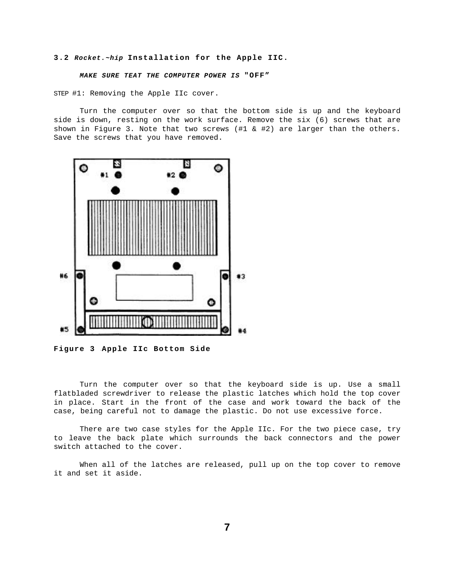#### <span id="page-7-0"></span>**3.2** *Rocket.~hip* **Installation for the Apple IIC.**

#### *MAKE SURE TEAT THE COMPUTER POWER IS* **"OFF"**

STEP #1: Removing the Apple IIc cover.

Turn the computer over so that the bottom side is up and the keyboard side is down, resting on the work surface. Remove the six (6) screws that are shown in Figure 3. Note that two screws  $(\#1 \& \#2)$  are larger than the others. Save the screws that you have removed.



**Figure 3** - **Apple IIc Bottom Side**

Turn the computer over so that the keyboard side is up. Use a small flatbladed screwdriver to release the plastic latches which hold the top cover in place. Start in the front of the case and work toward the back of the case, being careful not to damage the plastic. Do not use excessive force.

There are two case styles for the Apple IIc. For the two piece case, try to leave the back plate which surrounds the back connectors and the power switch attached to the cover.

When all of the latches are released, pull up on the top cover to remove it and set it aside.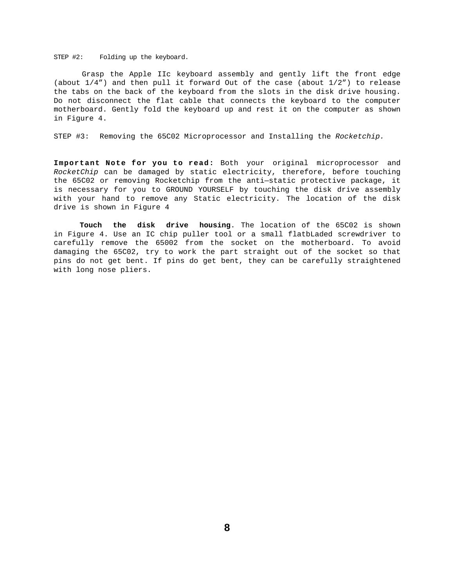STEP #2: Folding up the keyboard.

Grasp the Apple IIc keyboard assembly and gently lift the front edge (about 1/4") and then pull it forward Out of the case (about 1/2") to release the tabs on the back of the keyboard from the slots in the disk drive housing. Do not disconnect the flat cable that connects the keyboard to the computer motherboard. Gently fold the keyboard up and rest it on the computer as shown in Figure 4.

STEP #3: Removing the 65C02 Microprocessor and Installing the *Rocketchip.*

**Important Note for you to read:** Both your original microprocessor and *RocketChip* can be damaged by static electricity, therefore, before touching the 65C02 or removing Rocketchip from the anti—static protective package, it is necessary for you to GROUND YOURSELF by touching the disk drive assembly with your hand to remove any Static electricity. The location of the disk drive is shown in Figure 4

**Touch the disk drive housing**. The location of the 65C02 is shown in Figure 4. Use an IC chip puller tool or a small flatbLaded screwdriver to carefully remove the 65002 from the socket on the motherboard. To avoid damaging the 65C02, try to work the part straight out of the socket so that pins do not get bent. If pins do get bent, they can be carefully straightened with long nose pliers.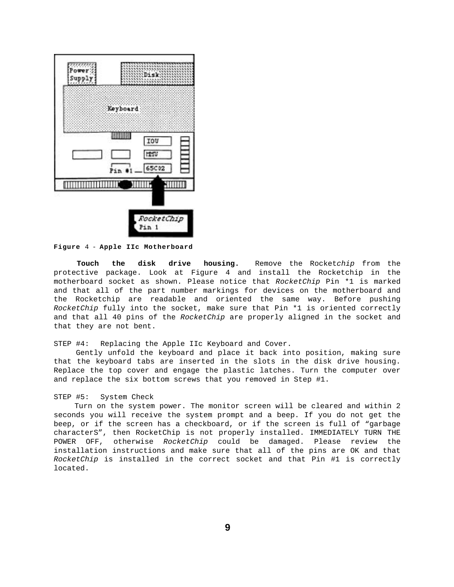

**Figure** 4 - **Apple IIc Motherboard**

**Touch the disk drive housing.** Remove the Rocket*chip* from the protective package. Look at Figure 4 and install the Rocketchip in the motherboard socket as shown. Please notice that *RocketChip* Pin \*1 is marked and that all of the part number markings for devices on the motherboard and the Rocketchip are readable and oriented the same way. Before pushing *RocketChip* fully into the socket, make sure that Pin \*1 is oriented correctly and that all 40 pins of the *RocketChip* are properly aligned in the socket and that they are not bent.

STEP #4: Replacing the Apple IIc Keyboard and Cover.

Gently unfold the keyboard and place it back into position, making sure that the keyboard tabs are inserted in the slots in the disk drive housing. Replace the top cover and engage the plastic latches. Turn the computer over and replace the six bottom screws that you removed in Step #1.

#### STEP #5: System Check

Turn on the system power. The monitor screen will be cleared and within 2 seconds you will receive the system prompt and a beep. If you do not get the beep, or if the screen has a checkboard, or if the screen is full of "garbage characterS", then RocketChip is not properly installed. IMMEDIATELY TURN THE POWER OFF, otherwise *RocketChip* could be damaged. Please review the installation instructions and make sure that all of the pins are OK and that *RocketChip* is installed in the correct socket and that Pin #1 is correctly located.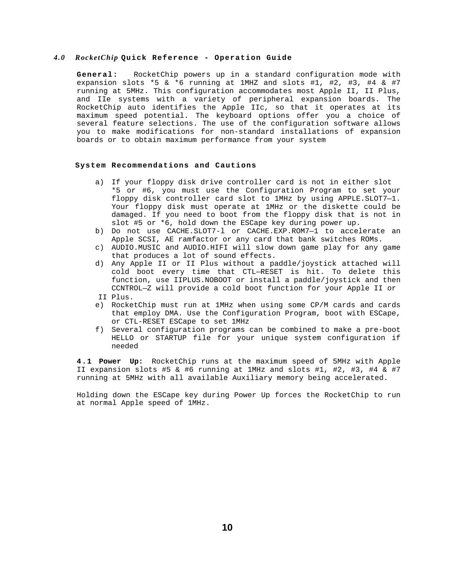# <span id="page-10-0"></span>*4.0 RocketChip* **Quick Reference - Operation Guide**

**General:** RocketChip powers up in a standard configuration mode with expansion slots \*5 & \*6 running at 1MHZ and slots #1, #2, #3, #4 & #7 running at 5MHz. This configuration accommodates most Apple II, II Plus, and IIe systems with a variety of peripheral expansion boards. The RocketChip auto identifies the Apple IIc, so that it operates at its maximum speed potential. The keyboard options offer you a choice of several feature selections. The use of the configuration software allows you to make modifications for non-standard installations of expansion boards or to obtain maximum performance from your system

#### **System Recommendations and Cautions**

- a) If your floppy disk drive controller card is not in either slot \*5 or #6, you must use the Configuration Program to set your floppy disk controller card slot to 1MHz by using APPLE.SLOT7—1. Your floppy disk must operate at 1MHz or the diskette could be damaged. If you need to boot from the floppy disk that is not in slot #5 or \*6, hold down the ESCape key during power up.
- b) Do not use CACHE.SLOT7-l or CACHE.EXP.ROM7—1 to accelerate an Apple SCSI, AE ramfactor or any card that bank switches ROMs.
- c) AUDIO.MUSIC and AUDIO.HIFI will slow down game play for any game that produces a lot of sound effects.
- d) Any Apple II or II Plus without a paddle/joystick attached will cold boot every time that CTL—RESET is hit. To delete this function, use IIPLUS.NOBOOT or install a paddle/joystick and then CCNTROL—Z will provide a cold boot function for your Apple II or II Plus.
- 
- e) RocketChip must run at 1MHz when using some CP/M cards and cards that employ DMA. Use the Configuration Program, boot with ESCape, or CTL-RESET ESCape to set 1MHz
- f) Several configuration programs can be combined to make a pre-boot HELLO or STARTUP file for your unique system configuration if needed

**4.1 Power Up:** RocketChip runs at the maximum speed of 5MHz with Apple II expansion slots #5 & #6 running at 1MHz and slots #1, #2, #3, #4 & #7 running at 5MHz with all available Auxiliary memory being accelerated.

Holding down the ESCape key during Power Up forces the RocketChip to run at normal Apple speed of 1MHz.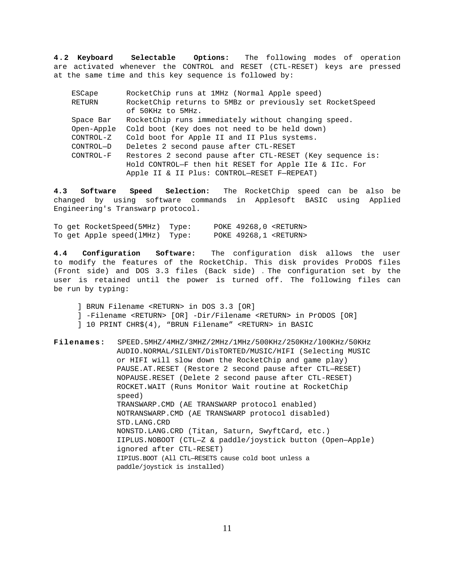**4.2 Keyboard Selectable Options:** The following modes of operation are activated whenever the CONTROL and RESET (CTL-RESET) keys are pressed at the same time and this key sequence is followed by:

| ESCape     | RocketChip runs at 1MHz (Normal Apple speed)              |
|------------|-----------------------------------------------------------|
| RETURN     | RocketChip returns to 5MBz or previously set RocketSpeed  |
|            | of 50KHz to 5MHz.                                         |
| Space Bar  | RocketChip runs immediately without changing speed.       |
| Open-Apple | Cold boot (Key does not need to be held down)             |
| CONTROL-Z  | Cold boot for Apple II and II Plus systems.               |
| CONTROL-D  | Deletes 2 second pause after CTL-RESET                    |
| CONTROL-F  | Restores 2 second pause after CTL-RESET (Key sequence is: |
|            | Hold CONTROL-F then hit RESET for Apple IIe & IIc. For    |
|            | Apple II & II Plus: CONTROL-RESET F-REPEAT)               |

**4.3 Software Speed Selection:** The RocketChip speed can be also be changed by using software commands in Applesoft BASIC using Applied Engineering's Transwarp protocol.

To get RocketSpeed(5MHz) Type: POKE 49268,0 <RETURN> To get Apple speed(lMHz) Type: POKE 49268,1 <RETURN>

**4.4 Configuration Software:** The configuration disk allows the user to modify the features of the RocketChip. This disk provides ProDOS files (Front side) and DOS 3.3 files (Back side) . The configuration set by the user is retained until the power is turned off. The following files can be run by typing:

- ] BRUN Filename <RETURN> in DOS 3.3 [OR]
- ] -Filename <RETURN> [OR] -Dir/Filename <RETURN> in PrODOS [OR]
- ] 10 PRINT CHR\$(4), "BRUN Filename" <RETURN> in BASIC
- **Filenames:** SPEED.5MHZ/4MHZ/3MHZ/2MHz/1MHz/500KHz/250KHz/l00KHz/50KHz AUDIO.NORMAL/SILENT/DisTORTED/MUSIC/HIFI (Selecting MUSIC or HIFI will slow down the RocketChip and game play) PAUSE.AT.RESET (Restore 2 second pause after CTL—RESET) NOPAUSE.RESET (Delete 2 second pause after CTL-RESET) ROCKET.WAIT (Runs Monitor Wait routine at RocketChip speed) TRANSWARP.CMD (AE TRANSWARP protocol enabled) NOTRANSWARP.CMD (AE TRANSWARP protocol disabled) STD.LANG.CRD NONSTD.LANG.CRD (Titan, Saturn, SwyftCard, etc.) IIPLUS.NOBOOT (CTL—Z & paddle/joystick button (Open—Apple) ignored after CTL-RESET) IIPIUS.BOOT (All CTL—RESETS cause cold boot unless a paddle/joystick is installed)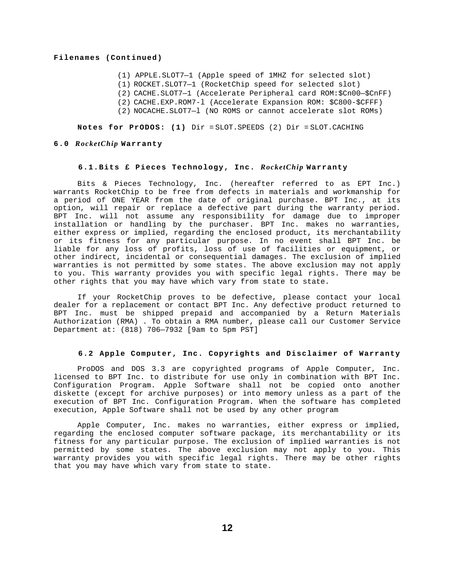#### <span id="page-12-0"></span>**Filenames (Continued)**

- (1) APPLE.SLOT7—1 (Apple speed of 1MHZ for selected slot)
- (1) ROCKET.SLOT7—1 (RocketChip speed for selected slot)
- (2) CACHE.SLOT7—1 (Accelerate Peripheral card ROM:\$Cn00—\$CnFF)
- (2) CACHE.EXP.ROM7-l (Accelerate Expansion ROM: \$C800-\$CFFF)
- (2) NOCACHE.SLOT7—l (NO ROMS or cannot accelerate slot ROMs)

**Notes for PrODOS: (1)** Dir = SLOT.SPEEDS (2) Dir = SLOT.CACHING

#### **6.0** *RocketChip* **Warranty**

## **6.1.Bits £ Pieces Technology, Inc.** *RocketChip* **Warranty**

Bits & Pieces Technology, Inc. (hereafter referred to as EPT Inc.) warrants RocketChip to be free from defects in materials and workmanship for a period of ONE YEAR from the date of original purchase. BPT Inc., at its option, will repair or replace a defective part during the warranty period. BPT Inc. will not assume any responsibility for damage due to improper installation or handling by the purchaser. BPT Inc. makes no warranties, either express or implied, regarding the enclosed product, its merchantability or its fitness for any particular purpose. In no event shall BPT Inc. be liable for any loss of profits, loss of use of facilities or equipment, or other indirect, incidental or consequential damages. The exclusion of implied warranties is not permitted by some states. The above exclusion may not apply to you. This warranty provides you with specific legal rights. There may be other rights that you may have which vary from state to state.

If your RocketChip proves to be defective, please contact your local dealer for a replacement or contact BPT Inc. Any defective product returned to BPT Inc. must be shipped prepaid and accompanied by a Return Materials Authorization (RMA) . To obtain a RMA number, please call our Customer Service Department at: (818) 706—7932 [9am to 5pm PST]

#### **6.2 Apple Computer, Inc. Copyrights and Disclaimer of Warranty**

ProDOS and DOS 3.3 are copyrighted programs of Apple Computer, Inc. licensed to BPT Inc. to distribute for use only in combination with BPT Inc. Configuration Program. Apple Software shall not be copied onto another diskette (except for archive purposes) or into memory unless as a part of the execution of BPT Inc. Configuration Program. When the software has completed execution, Apple Software shall not be used by any other program

Apple Computer, Inc. makes no warranties, either express or implied, regarding the enclosed computer software package, its merchantability or its fitness for any particular purpose. The exclusion of implied warranties is not permitted by some states. The above exclusion may not apply to you. This warranty provides you with specific legal rights. There may be other rights that you may have which vary from state to state.